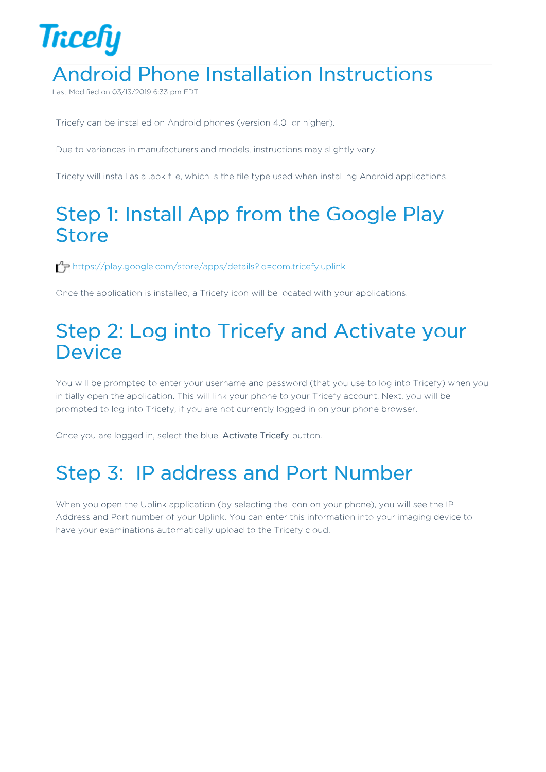## **Tricefy** Android Phone Installation Instructions

Last Modified on  $03/13/2019633$  pm

Tricefy can be installed on Android phones (version 4.0 or higher).

Due to variances in manufacturers and models, instructions may slightly vary.

Tricefy will install as a .apk file, which is the file type used when installing Android applications.

## Step 1: Install App from the Google Play **Store**

https://play.google.com/store/apps/details?id=com.tricefy.uplink

Once the application is installed, a Tricefy icon will be located with your applications.

## Step 2: Log into Tricefy and Activate your **Device**

You will be prompted to enter your username and password (that you use to log into Tricefy) when you initially open the application. This will link your phone to your Tricefy account. Next, you will be prompted to log into Tricefy, if you are not currently logged in on your phone browser.

Once you are logged in, select the blue Activate Tricefy button.

## Step 3: IP address and Port Number

When you open the Uplink application (by selecting the icon on your phone), you will see the IP Address and Port number of your Uplink. You can enter this information into your imaging device to have your examinations automatically upload to the Tricefy cloud.